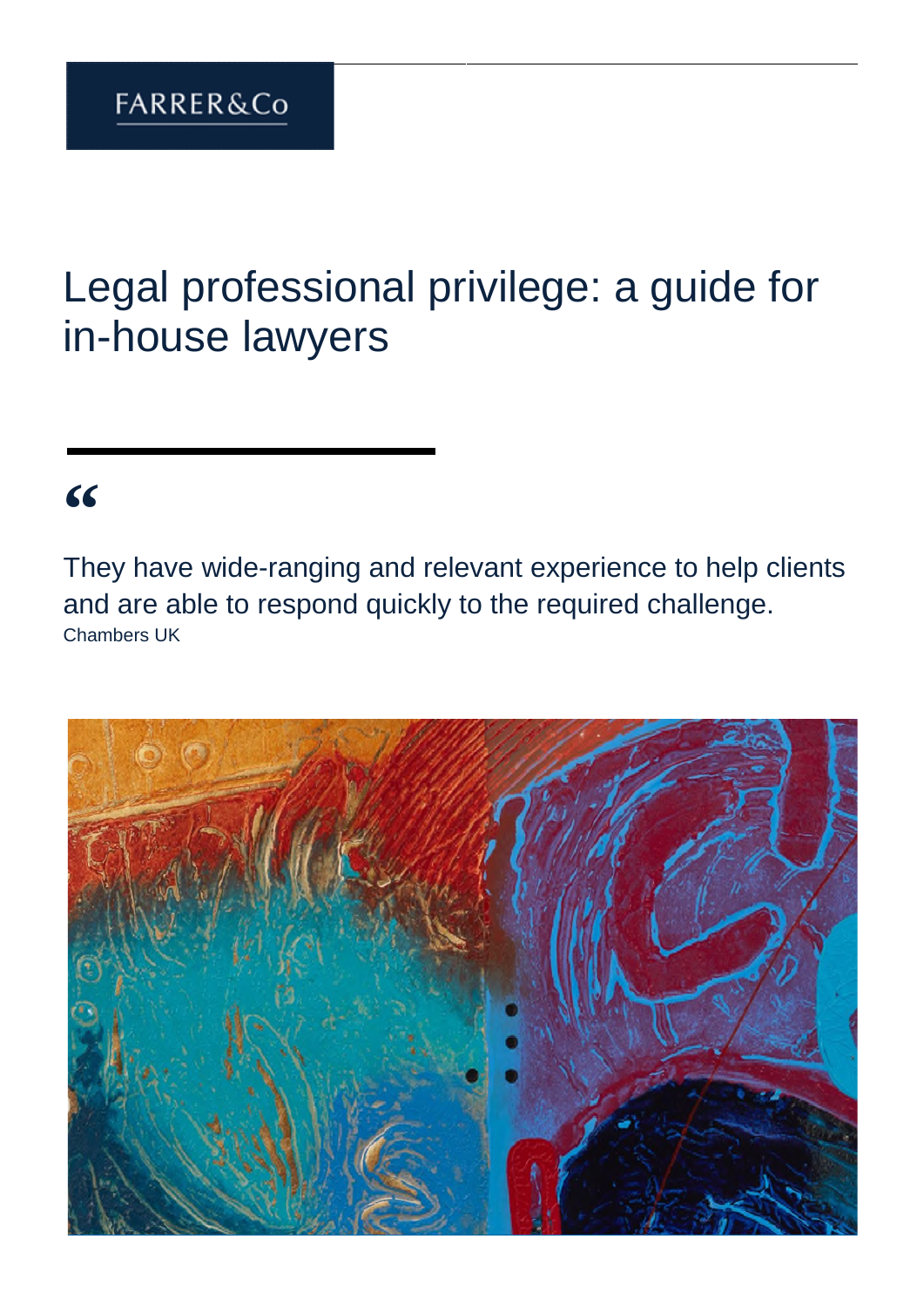# Legal professional privilege: a guide for in-house lawyers

## **"**

They have wide-ranging and relevant experience to help clients and are able to respond quickly to the required challenge. Chambers UK

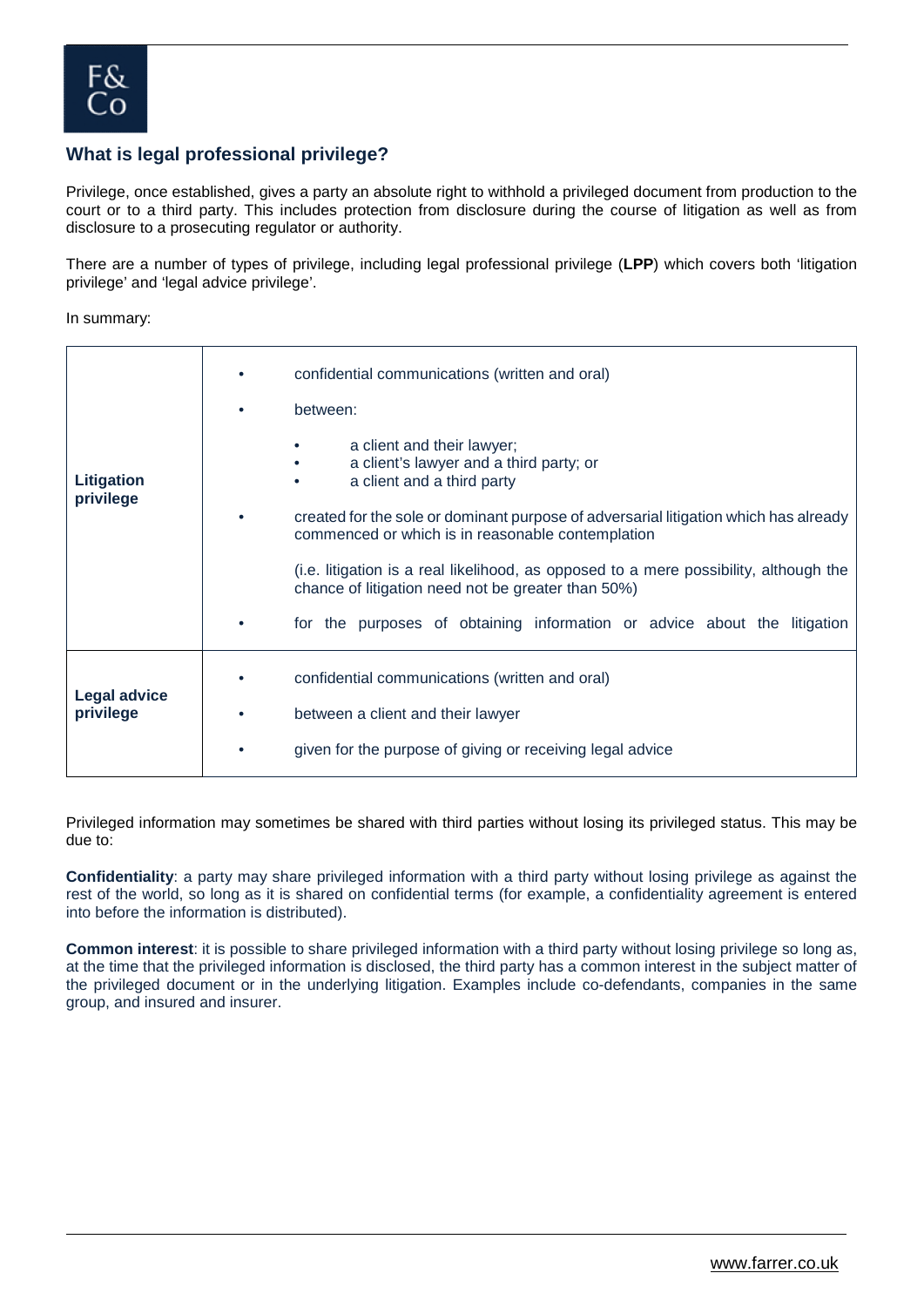#### **What is legal professional privilege?**

Privilege, once established, gives a party an absolute right to withhold a privileged document from production to the court or to a third party. This includes protection from disclosure during the course of litigation as well as from disclosure to a prosecuting regulator or authority.

There are a number of types of privilege, including legal professional privilege (**LPP**) which covers both 'litigation privilege' and 'legal advice privilege'.

In summary:

|                                  | confidential communications (written and oral)<br>between:                                                                                                                                                                                                                                                                                                                                                                                                                               |
|----------------------------------|------------------------------------------------------------------------------------------------------------------------------------------------------------------------------------------------------------------------------------------------------------------------------------------------------------------------------------------------------------------------------------------------------------------------------------------------------------------------------------------|
| Litigation<br>privilege          | a client and their lawyer;<br>a client's lawyer and a third party; or<br>a client and a third party<br>created for the sole or dominant purpose of adversarial litigation which has already<br>commenced or which is in reasonable contemplation<br>(i.e. litigation is a real likelihood, as opposed to a mere possibility, although the<br>chance of litigation need not be greater than 50%)<br>for the purposes of obtaining information or advice about the litigation<br>$\bullet$ |
| <b>Legal advice</b><br>privilege | confidential communications (written and oral)<br>between a client and their lawyer<br>given for the purpose of giving or receiving legal advice<br>$\bullet$                                                                                                                                                                                                                                                                                                                            |

Privileged information may sometimes be shared with third parties without losing its privileged status. This may be due to:

**Confidentiality**: a party may share privileged information with a third party without losing privilege as against the rest of the world, so long as it is shared on confidential terms (for example, a confidentiality agreement is entered into before the information is distributed).

**Common interest**: it is possible to share privileged information with a third party without losing privilege so long as, at the time that the privileged information is disclosed, the third party has a common interest in the subject matter of the privileged document or in the underlying litigation. Examples include co-defendants, companies in the same group, and insured and insurer.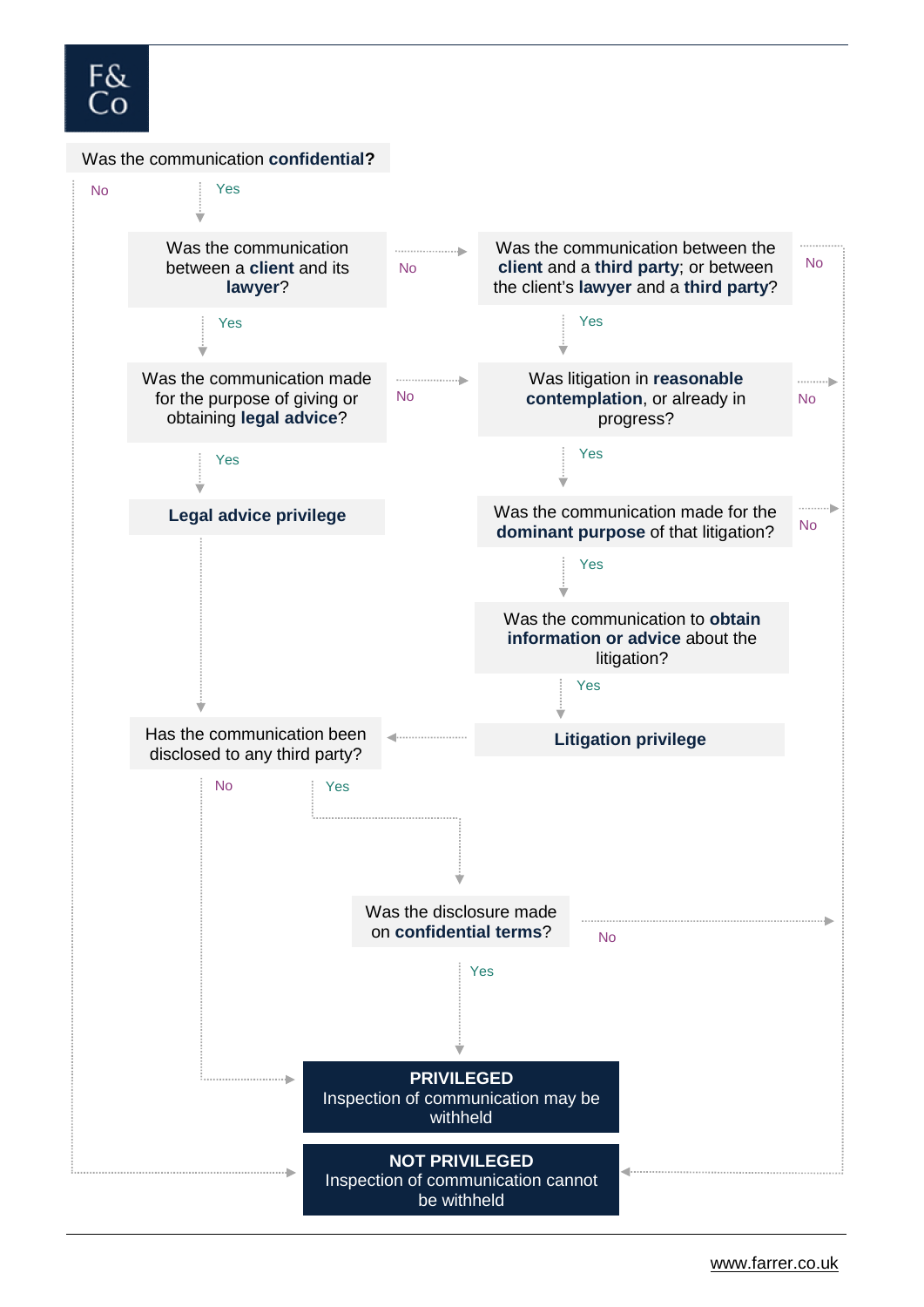### F& ΞO

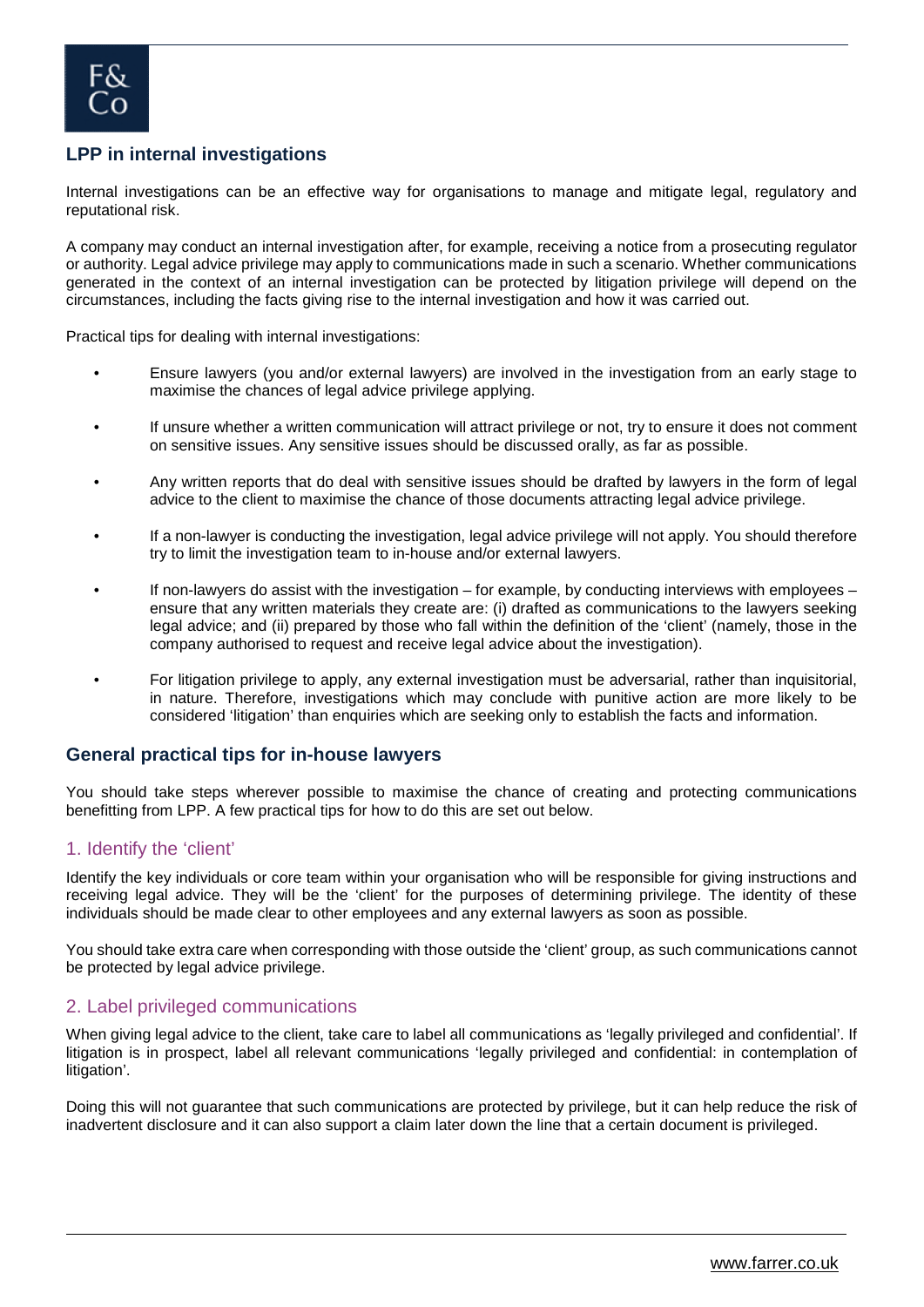

#### **LPP in internal investigations**

Internal investigations can be an effective way for organisations to manage and mitigate legal, regulatory and reputational risk.

A company may conduct an internal investigation after, for example, receiving a notice from a prosecuting regulator or authority. Legal advice privilege may apply to communications made in such a scenario. Whether communications generated in the context of an internal investigation can be protected by litigation privilege will depend on the circumstances, including the facts giving rise to the internal investigation and how it was carried out.

Practical tips for dealing with internal investigations:

- Ensure lawyers (you and/or external lawyers) are involved in the investigation from an early stage to maximise the chances of legal advice privilege applying.
- If unsure whether a written communication will attract privilege or not, try to ensure it does not comment on sensitive issues. Any sensitive issues should be discussed orally, as far as possible.
- Any written reports that do deal with sensitive issues should be drafted by lawyers in the form of legal advice to the client to maximise the chance of those documents attracting legal advice privilege.
- If a non-lawyer is conducting the investigation, legal advice privilege will not apply. You should therefore try to limit the investigation team to in-house and/or external lawyers.
- If non-lawyers do assist with the investigation for example, by conducting interviews with employees ensure that any written materials they create are: (i) drafted as communications to the lawyers seeking legal advice; and (ii) prepared by those who fall within the definition of the 'client' (namely, those in the company authorised to request and receive legal advice about the investigation).
- For litigation privilege to apply, any external investigation must be adversarial, rather than inquisitorial, in nature. Therefore, investigations which may conclude with punitive action are more likely to be considered 'litigation' than enquiries which are seeking only to establish the facts and information.

#### **General practical tips for in-house lawyers**

You should take steps wherever possible to maximise the chance of creating and protecting communications benefitting from LPP. A few practical tips for how to do this are set out below.

#### 1. Identify the 'client'

Identify the key individuals or core team within your organisation who will be responsible for giving instructions and receiving legal advice. They will be the 'client' for the purposes of determining privilege. The identity of these individuals should be made clear to other employees and any external lawyers as soon as possible.

You should take extra care when corresponding with those outside the 'client' group, as such communications cannot be protected by legal advice privilege.

#### 2. Label privileged communications

When giving legal advice to the client, take care to label all communications as 'legally privileged and confidential'. If litigation is in prospect, label all relevant communications 'legally privileged and confidential: in contemplation of litigation'.

Doing this will not guarantee that such communications are protected by privilege, but it can help reduce the risk of inadvertent disclosure and it can also support a claim later down the line that a certain document is privileged.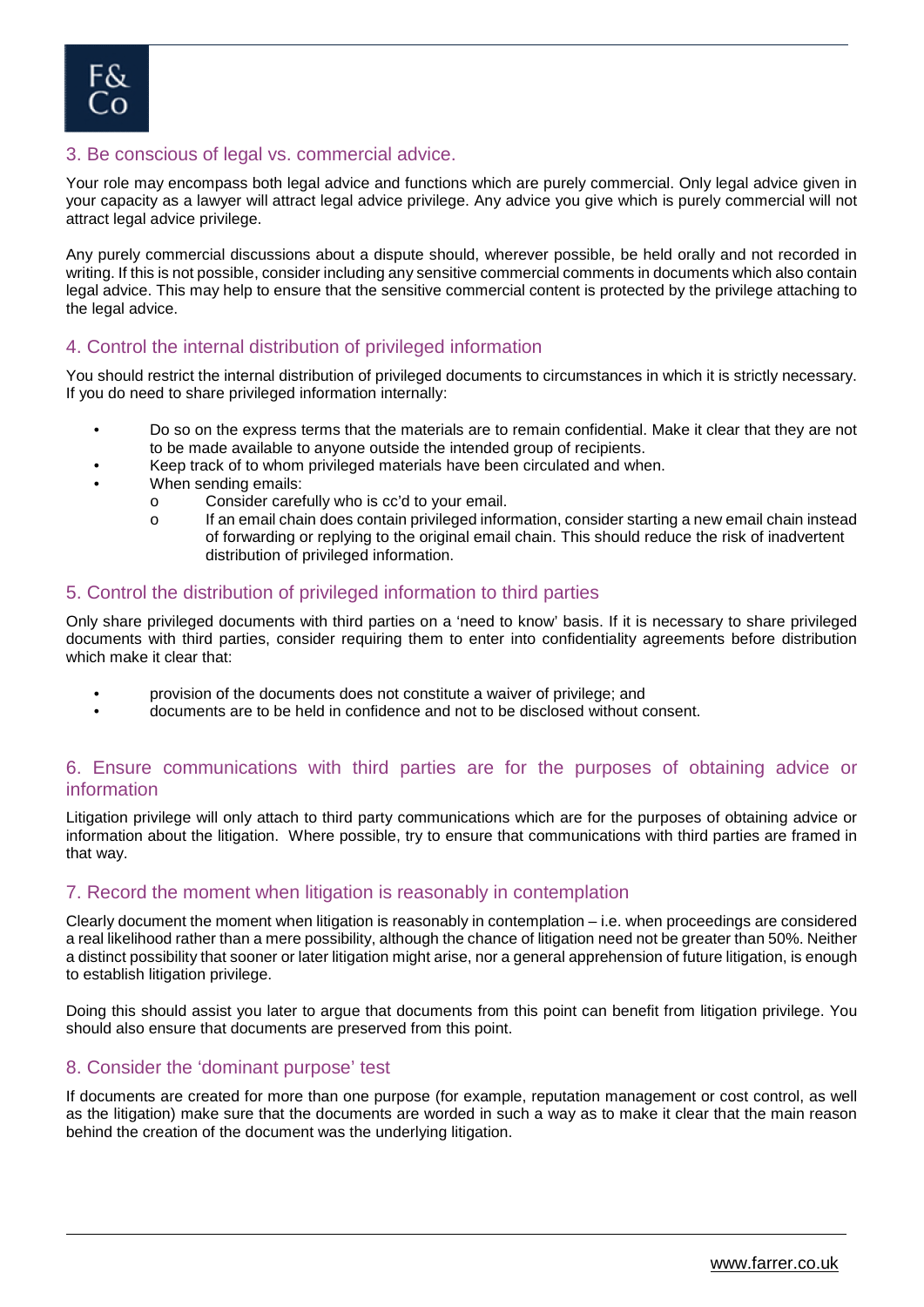#### 3. Be conscious of legal vs. commercial advice.

Your role may encompass both legal advice and functions which are purely commercial. Only legal advice given in your capacity as a lawyer will attract legal advice privilege. Any advice you give which is purely commercial will not attract legal advice privilege.

Any purely commercial discussions about a dispute should, wherever possible, be held orally and not recorded in writing. If this is not possible, consider including any sensitive commercial comments in documents which also contain legal advice. This may help to ensure that the sensitive commercial content is protected by the privilege attaching to the legal advice.

#### 4. Control the internal distribution of privileged information

You should restrict the internal distribution of privileged documents to circumstances in which it is strictly necessary. If you do need to share privileged information internally:

- Do so on the express terms that the materials are to remain confidential. Make it clear that they are not to be made available to anyone outside the intended group of recipients.
- Keep track of to whom privileged materials have been circulated and when.
- When sending emails:
	- o Consider carefully who is cc'd to your email.
	- o If an email chain does contain privileged information, consider starting a new email chain instead of forwarding or replying to the original email chain. This should reduce the risk of inadvertent distribution of privileged information.

#### 5. Control the distribution of privileged information to third parties

Only share privileged documents with third parties on a 'need to know' basis. If it is necessary to share privileged documents with third parties, consider requiring them to enter into confidentiality agreements before distribution which make it clear that:

- provision of the documents does not constitute a waiver of privilege; and
- documents are to be held in confidence and not to be disclosed without consent.

#### 6. Ensure communications with third parties are for the purposes of obtaining advice or information

Litigation privilege will only attach to third party communications which are for the purposes of obtaining advice or information about the litigation. Where possible, try to ensure that communications with third parties are framed in that way.

#### 7. Record the moment when litigation is reasonably in contemplation

Clearly document the moment when litigation is reasonably in contemplation – i.e. when proceedings are considered a real likelihood rather than a mere possibility, although the chance of litigation need not be greater than 50%. Neither a distinct possibility that sooner or later litigation might arise, nor a general apprehension of future litigation, is enough to establish litigation privilege.

Doing this should assist you later to argue that documents from this point can benefit from litigation privilege. You should also ensure that documents are preserved from this point.

#### 8. Consider the 'dominant purpose' test

If documents are created for more than one purpose (for example, reputation management or cost control, as well as the litigation) make sure that the documents are worded in such a way as to make it clear that the main reason behind the creation of the document was the underlying litigation.